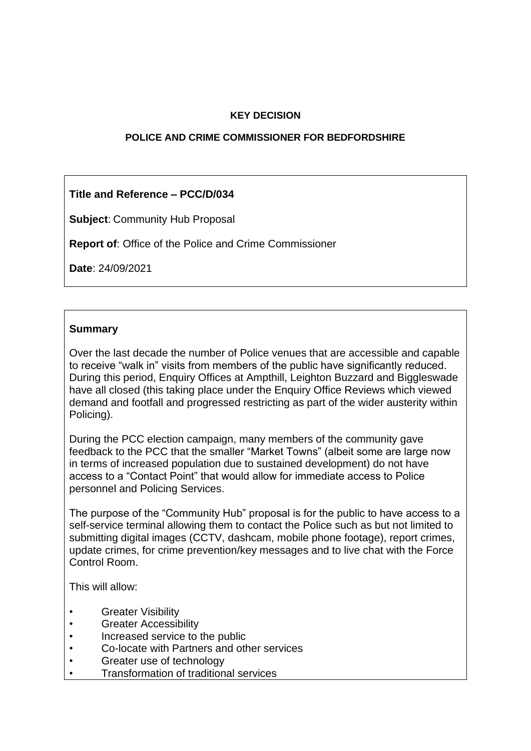### **KEY DECISION**

#### **POLICE AND CRIME COMMISSIONER FOR BEDFORDSHIRE**

## **Title and Reference – PCC/D/034**

**Subject**: Community Hub Proposal

**Report of**: Office of the Police and Crime Commissioner

**Date**: 24/09/2021

#### **Summary**

Over the last decade the number of Police venues that are accessible and capable to receive "walk in" visits from members of the public have significantly reduced. During this period, Enquiry Offices at Ampthill, Leighton Buzzard and Biggleswade have all closed (this taking place under the Enquiry Office Reviews which viewed demand and footfall and progressed restricting as part of the wider austerity within Policing).

During the PCC election campaign, many members of the community gave feedback to the PCC that the smaller "Market Towns" (albeit some are large now in terms of increased population due to sustained development) do not have access to a "Contact Point" that would allow for immediate access to Police personnel and Policing Services.

The purpose of the "Community Hub" proposal is for the public to have access to a self-service terminal allowing them to contact the Police such as but not limited to submitting digital images (CCTV, dashcam, mobile phone footage), report crimes, update crimes, for crime prevention/key messages and to live chat with the Force Control Room.

This will allow:

- **Greater Visibility**
- Greater Accessibility
- Increased service to the public
- Co-locate with Partners and other services
- Greater use of technology
- Transformation of traditional services